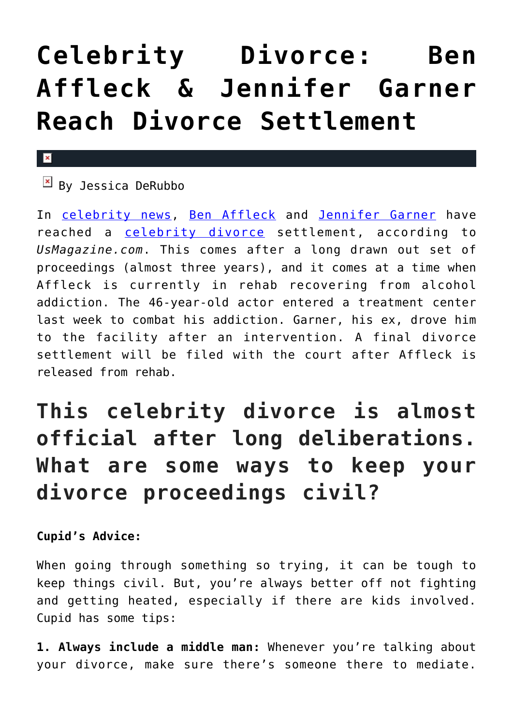## **[Celebrity Divorce: Ben](https://cupidspulse.com/126485/celebrity-divorce-ben-affleck-jennifer-garner-divorce-settlement/) [Affleck & Jennifer Garner](https://cupidspulse.com/126485/celebrity-divorce-ben-affleck-jennifer-garner-divorce-settlement/) [Reach Divorce Settlement](https://cupidspulse.com/126485/celebrity-divorce-ben-affleck-jennifer-garner-divorce-settlement/)**

## $\pmb{\times}$

 $\overline{B}$  By Jessica DeRubbo

In [celebrity news](http://cupidspulse.com/celebrity-news/), [Ben Affleck](http://cupidspulse.com/87708/ben-affleck/) and [Jennifer Garner](http://cupidspulse.com/94271/jennifer-garner/) have reached a [celebrity divorce](http://cupidspulse.com/celebrity-relationships/break-up-divorce/) settlement, according to *UsMagazine.com*. This comes after a long drawn out set of proceedings (almost three years), and it comes at a time when Affleck is currently in rehab recovering from alcohol addiction. The 46-year-old actor entered a treatment center last week to combat his addiction. Garner, his ex, drove him to the facility after an intervention. A final divorce settlement will be filed with the court after Affleck is released from rehab.

## **This celebrity divorce is almost official after long deliberations. What are some ways to keep your divorce proceedings civil?**

**Cupid's Advice:**

When going through something so trying, it can be tough to keep things civil. But, you're always better off not fighting and getting heated, especially if there are kids involved. Cupid has some tips:

**1. Always include a middle man:** Whenever you're talking about your divorce, make sure there's someone there to mediate.